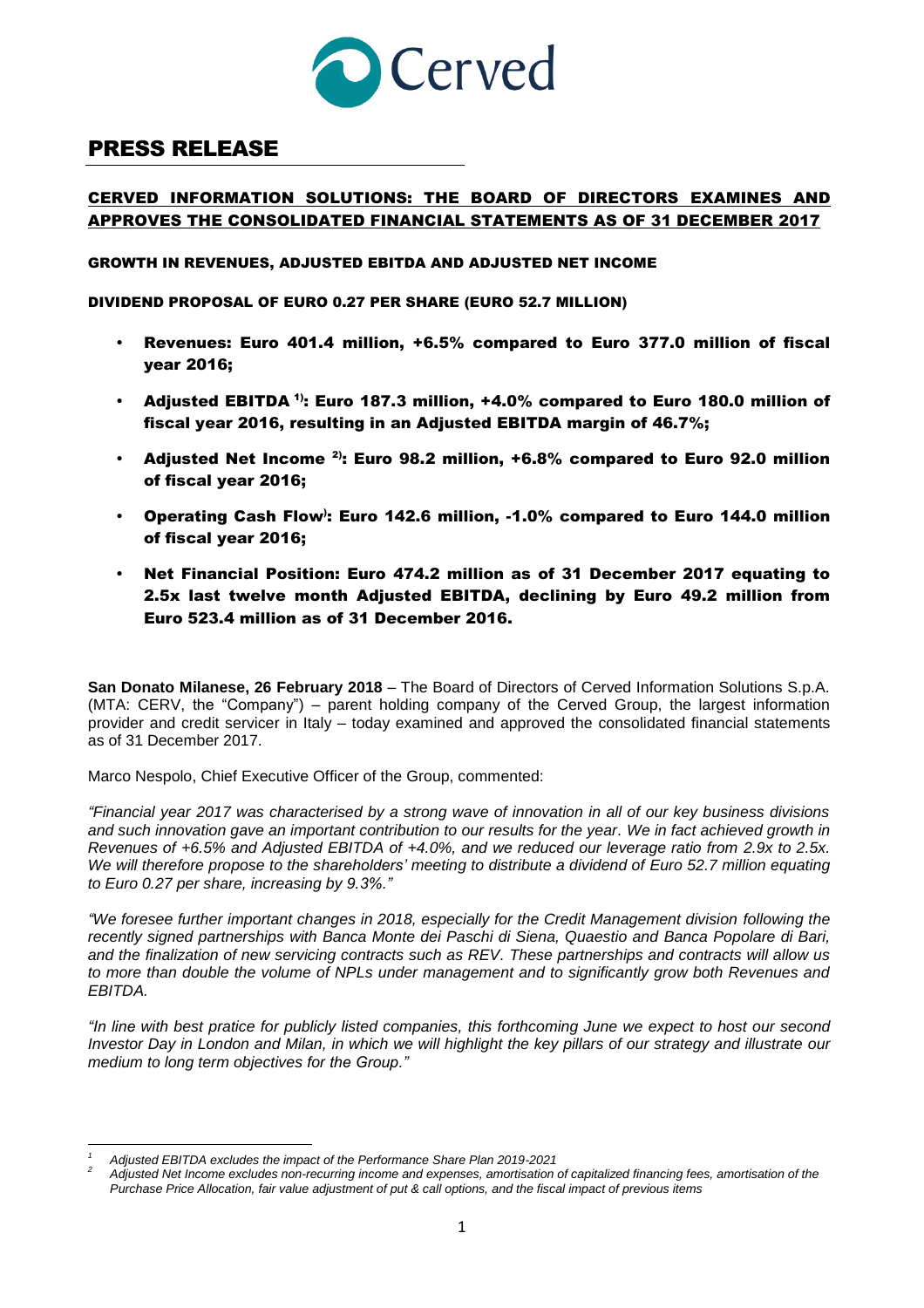

# PRESS RELEASE

# CERVED INFORMATION SOLUTIONS: THE BOARD OF DIRECTORS EXAMINES AND APPROVES THE CONSOLIDATED FINANCIAL STATEMENTS AS OF 31 DECEMBER 2017

GROWTH IN REVENUES, ADJUSTED EBITDA AND ADJUSTED NET INCOME

DIVIDEND PROPOSAL OF EURO 0.27 PER SHARE (EURO 52.7 MILLION)

- Revenues: Euro 401.4 million, +6.5% compared to Euro 377.0 million of fiscal year 2016;
- Adjusted EBITDA  $\text{^{1}}$ : Euro 187.3 million, +4.0% compared to Euro 180.0 million of fiscal year 2016, resulting in an Adjusted EBITDA margin of 46.7%;
- Adjusted Net Income  $2$ : Euro 98.2 million, +6.8% compared to Euro 92.0 million of fiscal year 2016;
- Operating Cash Flow<sup>)</sup>: Euro 142.6 million, -1.0% compared to Euro 144.0 million of fiscal year 2016;
- Net Financial Position: Euro 474.2 million as of 31 December 2017 equating to 2.5x last twelve month Adjusted EBITDA, declining by Euro 49.2 million from Euro 523.4 million as of 31 December 2016.

**San Donato Milanese, 26 February 2018** – The Board of Directors of Cerved Information Solutions S.p.A. (MTA: CERV, the "Company") – parent holding company of the Cerved Group, the largest information provider and credit servicer in Italy – today examined and approved the consolidated financial statements as of 31 December 2017.

Marco Nespolo, Chief Executive Officer of the Group, commented:

*"Financial year 2017 was characterised by a strong wave of innovation in all of our key business divisions and such innovation gave an important contribution to our results for the year. We in fact achieved growth in Revenues of +6.5% and Adjusted EBITDA of +4.0%, and we reduced our leverage ratio from 2.9x to 2.5x. We will therefore propose to the shareholders' meeting to distribute a dividend of Euro 52.7 million equating to Euro 0.27 per share, increasing by 9.3%."*

*"We foresee further important changes in 2018, especially for the Credit Management division following the recently signed partnerships with Banca Monte dei Paschi di Siena, Quaestio and Banca Popolare di Bari, and the finalization of new servicing contracts such as REV. These partnerships and contracts will allow us to more than double the volume of NPLs under management and to significantly grow both Revenues and EBITDA.*

*"In line with best pratice for publicly listed companies, this forthcoming June we expect to host our second Investor Day in London and Milan, in which we will highlight the key pillars of our strategy and illustrate our medium to long term objectives for the Group."*

 $\overline{a}$ *<sup>1</sup> Adjusted EBITDA excludes the impact of the Performance Share Plan 2019-2021*

*<sup>2</sup> Adjusted Net Income excludes non-recurring income and expenses, amortisation of capitalized financing fees, amortisation of the Purchase Price Allocation, fair value adjustment of put & call options, and the fiscal impact of previous items*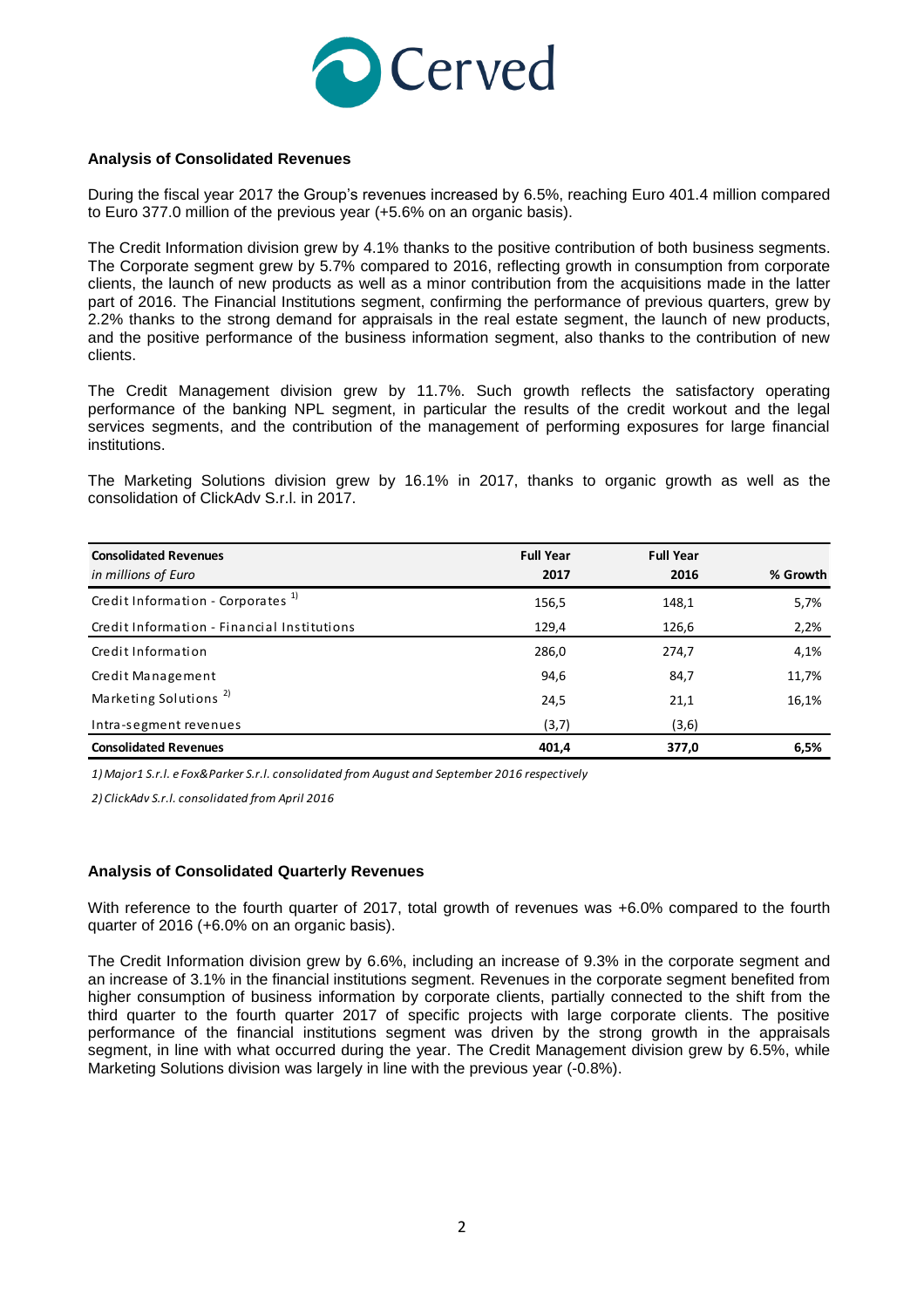

### **Analysis of Consolidated Revenues**

During the fiscal year 2017 the Group's revenues increased by 6.5%, reaching Euro 401.4 million compared to Euro 377.0 million of the previous year (+5.6% on an organic basis).

The Credit Information division grew by 4.1% thanks to the positive contribution of both business segments. The Corporate segment grew by 5.7% compared to 2016, reflecting growth in consumption from corporate clients, the launch of new products as well as a minor contribution from the acquisitions made in the latter part of 2016. The Financial Institutions segment, confirming the performance of previous quarters, grew by 2.2% thanks to the strong demand for appraisals in the real estate segment, the launch of new products, and the positive performance of the business information segment, also thanks to the contribution of new clients.

The Credit Management division grew by 11.7%. Such growth reflects the satisfactory operating performance of the banking NPL segment, in particular the results of the credit workout and the legal services segments, and the contribution of the management of performing exposures for large financial institutions.

The Marketing Solutions division grew by 16.1% in 2017, thanks to organic growth as well as the consolidation of ClickAdv S.r.l. in 2017.

| <b>Consolidated Revenues</b><br>in millions of Euro | <b>Full Year</b><br>2017 | <b>Full Year</b><br>2016 | % Growth |
|-----------------------------------------------------|--------------------------|--------------------------|----------|
| Credit Information - Corporates <sup>1)</sup>       | 156,5                    | 148,1                    | 5,7%     |
| Credit Information - Financial Institutions         | 129,4                    | 126,6                    | 2,2%     |
| Credit Information                                  | 286,0                    | 274,7                    | 4,1%     |
| Credit Management                                   | 94,6                     | 84,7                     | 11,7%    |
| Marketing Solutions <sup>2)</sup>                   | 24,5                     | 21,1                     | 16,1%    |
| Intra-segment revenues                              | (3,7)                    | (3,6)                    |          |
| <b>Consolidated Revenues</b>                        | 401,4                    | 377,0                    | 6,5%     |

*1) Major1 S.r.l. e Fox&Parker S.r.l. consolidated from August and September 2016 respectively*

*2) ClickAdv S.r.l. consolidated from April 2016*

#### **Analysis of Consolidated Quarterly Revenues**

With reference to the fourth quarter of 2017, total growth of revenues was +6.0% compared to the fourth quarter of 2016 (+6.0% on an organic basis).

The Credit Information division grew by 6.6%, including an increase of 9.3% in the corporate segment and an increase of 3.1% in the financial institutions segment. Revenues in the corporate segment benefited from higher consumption of business information by corporate clients, partially connected to the shift from the third quarter to the fourth quarter 2017 of specific projects with large corporate clients. The positive performance of the financial institutions segment was driven by the strong growth in the appraisals segment, in line with what occurred during the year. The Credit Management division grew by 6.5%, while Marketing Solutions division was largely in line with the previous year (-0.8%).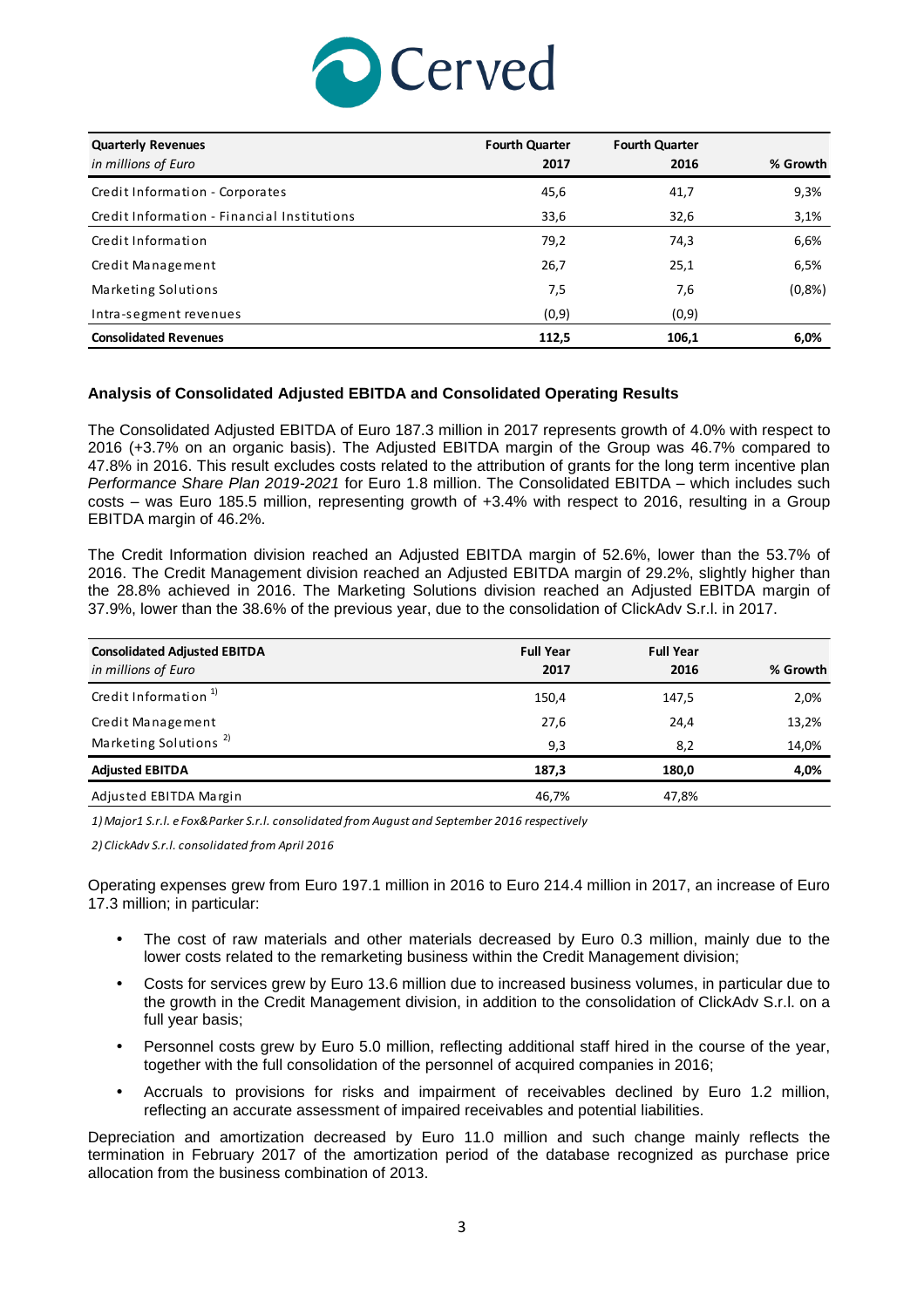

| <b>Quarterly Revenues</b>                   | <b>Fourth Quarter</b> | <b>Fourth Quarter</b> |          |
|---------------------------------------------|-----------------------|-----------------------|----------|
| in millions of Euro                         | 2017                  | 2016                  | % Growth |
| Credit Information - Corporates             | 45,6                  | 41,7                  | 9,3%     |
| Credit Information - Financial Institutions | 33,6                  | 32,6                  | 3,1%     |
| Credit Information                          | 79,2                  | 74,3                  | 6,6%     |
| Credit Management                           | 26,7                  | 25,1                  | 6,5%     |
| Marketing Solutions                         | 7,5                   | 7,6                   | (0,8% )  |
| Intra-segment revenues                      | (0,9)                 | (0,9)                 |          |
| <b>Consolidated Revenues</b>                | 112,5                 | 106,1                 | 6,0%     |

### **Analysis of Consolidated Adjusted EBITDA and Consolidated Operating Results**

The Consolidated Adjusted EBITDA of Euro 187.3 million in 2017 represents growth of 4.0% with respect to 2016 (+3.7% on an organic basis). The Adjusted EBITDA margin of the Group was 46.7% compared to 47.8% in 2016. This result excludes costs related to the attribution of grants for the long term incentive plan *Performance Share Plan 2019-2021* for Euro 1.8 million. The Consolidated EBITDA – which includes such costs – was Euro 185.5 million, representing growth of +3.4% with respect to 2016, resulting in a Group EBITDA margin of 46.2%.

The Credit Information division reached an Adjusted EBITDA margin of 52.6%, lower than the 53.7% of 2016. The Credit Management division reached an Adjusted EBITDA margin of 29.2%, slightly higher than the 28.8% achieved in 2016. The Marketing Solutions division reached an Adjusted EBITDA margin of 37.9%, lower than the 38.6% of the previous year, due to the consolidation of ClickAdv S.r.l. in 2017.

| <b>Consolidated Adjusted EBITDA</b><br>in millions of Euro | <b>Full Year</b><br>2017 | <b>Full Year</b><br>2016 | % Growth |
|------------------------------------------------------------|--------------------------|--------------------------|----------|
| Credit Information <sup>1)</sup>                           | 150,4                    | 147,5                    | 2,0%     |
| Credit Management                                          | 27,6                     | 24,4                     | 13,2%    |
| Marketing Solutions <sup>2)</sup>                          | 9,3                      | 8,2                      | 14,0%    |
| <b>Adjusted EBITDA</b>                                     | 187.3                    | 180.0                    | 4,0%     |
| Adjusted EBITDA Margin                                     | 46,7%                    | 47,8%                    |          |

*1) Major1 S.r.l. e Fox&Parker S.r.l. consolidated from August and September 2016 respectively*

*2) ClickAdv S.r.l. consolidated from April 2016*

Operating expenses grew from Euro 197.1 million in 2016 to Euro 214.4 million in 2017, an increase of Euro 17.3 million; in particular:

- The cost of raw materials and other materials decreased by Euro 0.3 million, mainly due to the lower costs related to the remarketing business within the Credit Management division;
- Costs for services grew by Euro 13.6 million due to increased business volumes, in particular due to the growth in the Credit Management division, in addition to the consolidation of ClickAdv S.r.l. on a full year basis;
- Personnel costs grew by Euro 5.0 million, reflecting additional staff hired in the course of the year, together with the full consolidation of the personnel of acquired companies in 2016;
- Accruals to provisions for risks and impairment of receivables declined by Euro 1.2 million, reflecting an accurate assessment of impaired receivables and potential liabilities.

Depreciation and amortization decreased by Euro 11.0 million and such change mainly reflects the termination in February 2017 of the amortization period of the database recognized as purchase price allocation from the business combination of 2013.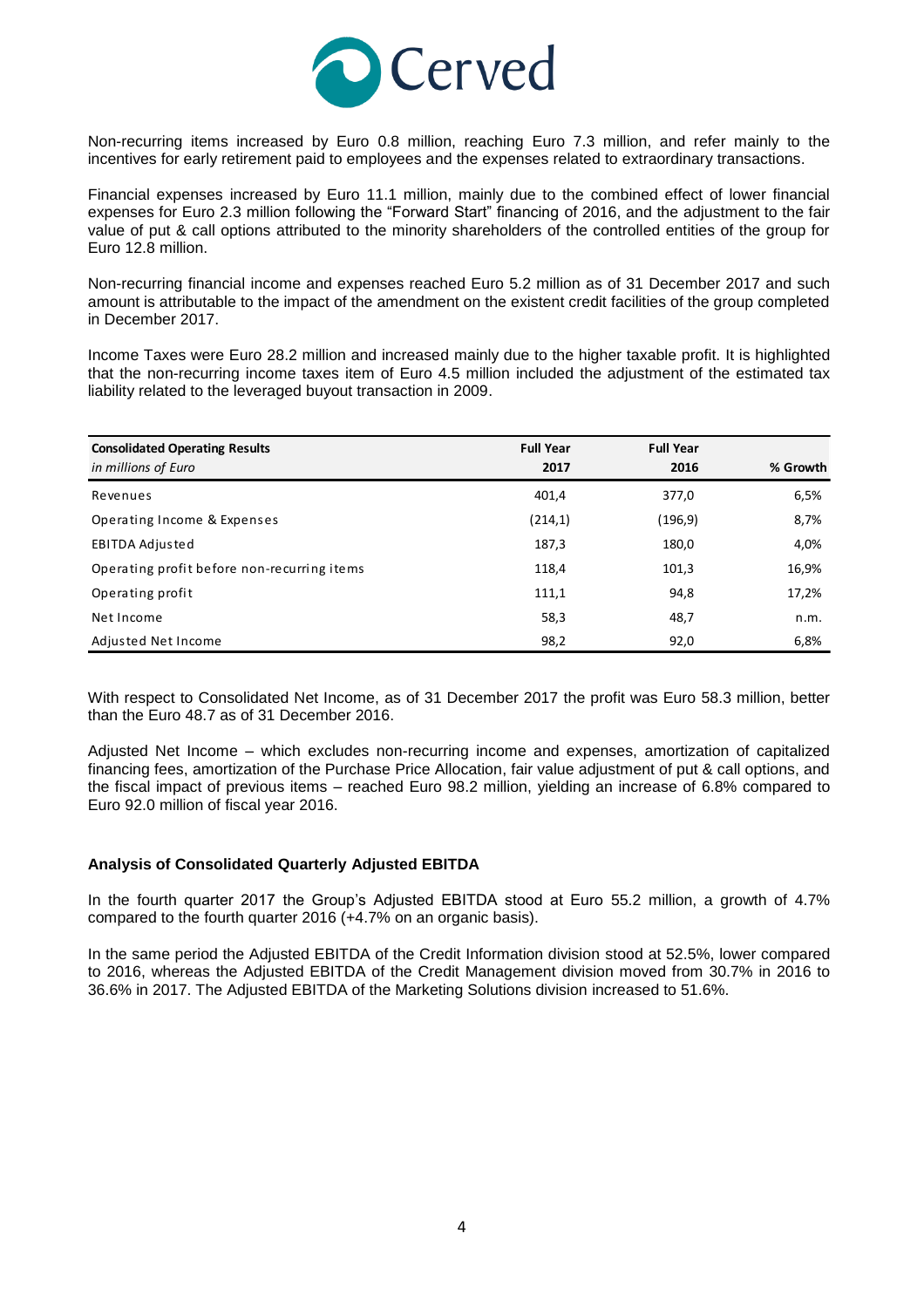

Non-recurring items increased by Euro 0.8 million, reaching Euro 7.3 million, and refer mainly to the incentives for early retirement paid to employees and the expenses related to extraordinary transactions.

Financial expenses increased by Euro 11.1 million, mainly due to the combined effect of lower financial expenses for Euro 2.3 million following the "Forward Start" financing of 2016, and the adjustment to the fair value of put & call options attributed to the minority shareholders of the controlled entities of the group for Euro 12.8 million.

Non-recurring financial income and expenses reached Euro 5.2 million as of 31 December 2017 and such amount is attributable to the impact of the amendment on the existent credit facilities of the group completed in December 2017.

Income Taxes were Euro 28.2 million and increased mainly due to the higher taxable profit. It is highlighted that the non-recurring income taxes item of Euro 4.5 million included the adjustment of the estimated tax liability related to the leveraged buyout transaction in 2009.

| <b>Consolidated Operating Results</b><br>in millions of Euro | <b>Full Year</b><br>2017 | <b>Full Year</b><br>2016 | % Growth |
|--------------------------------------------------------------|--------------------------|--------------------------|----------|
| Revenues                                                     | 401,4                    | 377,0                    | 6,5%     |
| Operating Income & Expenses                                  | (214,1)                  | (196, 9)                 | 8,7%     |
| EBITDA Adjusted                                              | 187,3                    | 180,0                    | 4,0%     |
| Operating profit before non-recurring items                  | 118,4                    | 101,3                    | 16,9%    |
| Operating profit                                             | 111,1                    | 94,8                     | 17,2%    |
| Net Income                                                   | 58,3                     | 48,7                     | n.m.     |
| Adjusted Net Income                                          | 98,2                     | 92,0                     | 6,8%     |

With respect to Consolidated Net Income, as of 31 December 2017 the profit was Euro 58.3 million, better than the Euro 48.7 as of 31 December 2016.

Adjusted Net Income – which excludes non-recurring income and expenses, amortization of capitalized financing fees, amortization of the Purchase Price Allocation, fair value adjustment of put & call options, and the fiscal impact of previous items – reached Euro 98.2 million, yielding an increase of 6.8% compared to Euro 92.0 million of fiscal year 2016.

#### **Analysis of Consolidated Quarterly Adjusted EBITDA**

In the fourth quarter 2017 the Group's Adjusted EBITDA stood at Euro 55.2 million, a growth of 4.7% compared to the fourth quarter 2016 (+4.7% on an organic basis).

In the same period the Adjusted EBITDA of the Credit Information division stood at 52.5%, lower compared to 2016, whereas the Adjusted EBITDA of the Credit Management division moved from 30.7% in 2016 to 36.6% in 2017. The Adjusted EBITDA of the Marketing Solutions division increased to 51.6%.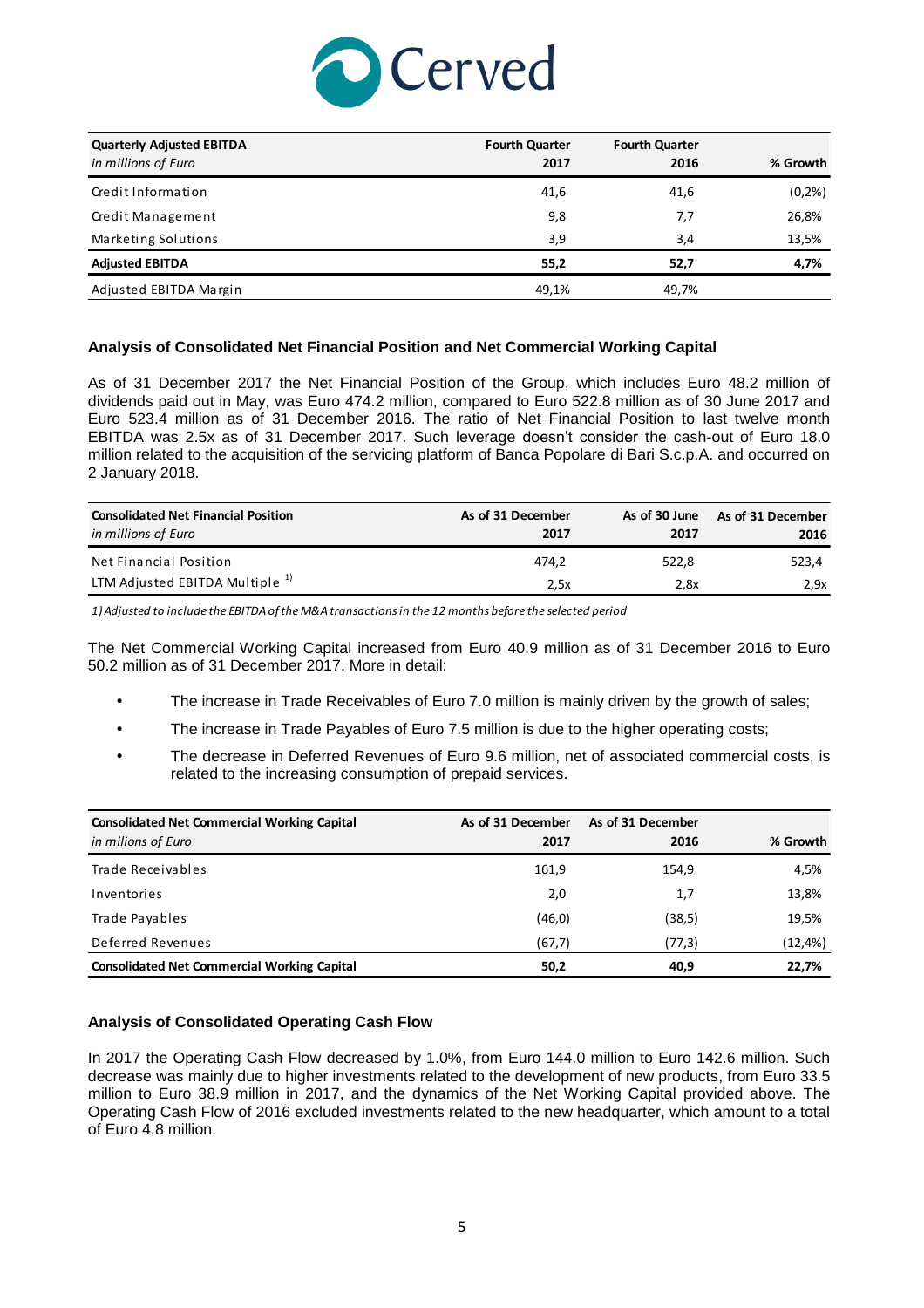

| <b>Quarterly Adjusted EBITDA</b> | <b>Fourth Quarter</b> | <b>Fourth Quarter</b> |          |
|----------------------------------|-----------------------|-----------------------|----------|
| in millions of Euro              | 2017                  | 2016                  | % Growth |
| Credit Information               | 41,6                  | 41,6                  | (0,2% )  |
| Credit Management                | 9,8                   | 7,7                   | 26,8%    |
| Marketing Solutions              | 3,9                   | 3,4                   | 13,5%    |
| <b>Adjusted EBITDA</b>           | 55,2                  | 52,7                  | 4,7%     |
| Adjusted EBITDA Margin           | 49,1%                 | 49,7%                 |          |

### **Analysis of Consolidated Net Financial Position and Net Commercial Working Capital**

As of 31 December 2017 the Net Financial Position of the Group, which includes Euro 48.2 million of dividends paid out in May, was Euro 474.2 million, compared to Euro 522.8 million as of 30 June 2017 and Euro 523.4 million as of 31 December 2016. The ratio of Net Financial Position to last twelve month EBITDA was 2.5x as of 31 December 2017. Such leverage doesn't consider the cash-out of Euro 18.0 million related to the acquisition of the servicing platform of Banca Popolare di Bari S.c.p.A. and occurred on 2 January 2018.

| <b>Consolidated Net Financial Position</b><br>in millions of Euro | As of 31 December<br>2017 | As of 30 June<br>2017 | As of 31 December<br>2016 |
|-------------------------------------------------------------------|---------------------------|-----------------------|---------------------------|
| Net Financial Position                                            | 474.2                     | 522.8                 | 523,4                     |
| LTM Adjusted EBITDA Multiple <sup>1)</sup>                        | 2.5x                      | 2.8x                  | 2.9x                      |

*1) Adjusted to include the EBITDA of the M&A transactions in the 12 months before the selected period*

The Net Commercial Working Capital increased from Euro 40.9 million as of 31 December 2016 to Euro 50.2 million as of 31 December 2017. More in detail:

- The increase in Trade Receivables of Euro 7.0 million is mainly driven by the growth of sales;
- The increase in Trade Payables of Euro 7.5 million is due to the higher operating costs;
- The decrease in Deferred Revenues of Euro 9.6 million, net of associated commercial costs, is related to the increasing consumption of prepaid services.

| <b>Consolidated Net Commercial Working Capital</b><br>in milions of Euro | As of 31 December<br>2017 | As of 31 December<br>2016 | % Growth |
|--------------------------------------------------------------------------|---------------------------|---------------------------|----------|
| Trade Receivables                                                        | 161,9                     | 154,9                     | 4,5%     |
| Inventories                                                              | 2,0                       | 1,7                       | 13,8%    |
| Trade Payables                                                           | (46, 0)                   | (38,5)                    | 19,5%    |
| Deferred Revenues                                                        | (67,7)                    | (77,3)                    | (12, 4%) |
| <b>Consolidated Net Commercial Working Capital</b>                       | 50,2                      | 40,9                      | 22,7%    |

### **Analysis of Consolidated Operating Cash Flow**

In 2017 the Operating Cash Flow decreased by 1.0%, from Euro 144.0 million to Euro 142.6 million. Such decrease was mainly due to higher investments related to the development of new products, from Euro 33.5 million to Euro 38.9 million in 2017, and the dynamics of the Net Working Capital provided above. The Operating Cash Flow of 2016 excluded investments related to the new headquarter, which amount to a total of Euro 4.8 million.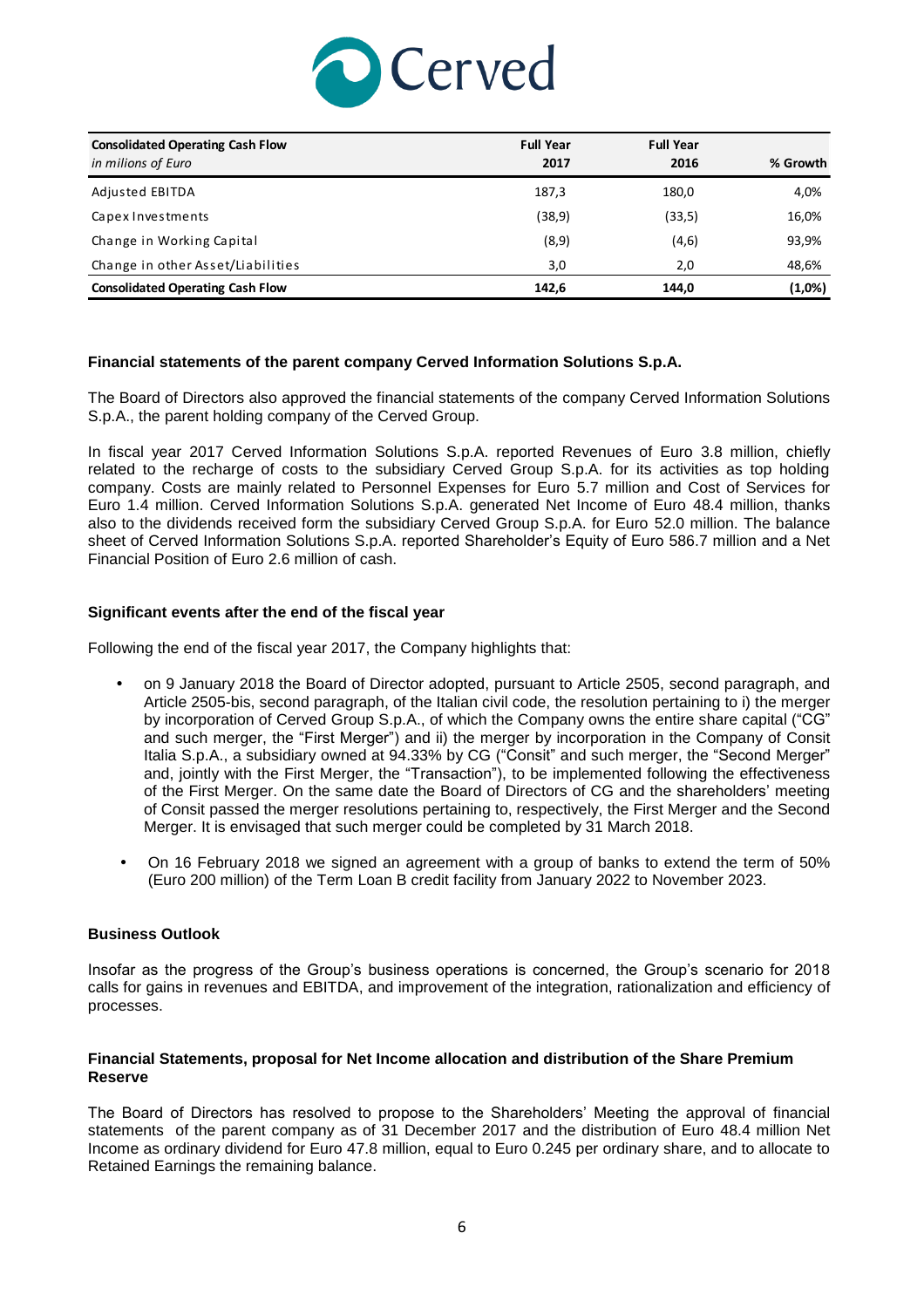

| <b>Consolidated Operating Cash Flow</b> | <b>Full Year</b> | <b>Full Year</b> |          |
|-----------------------------------------|------------------|------------------|----------|
| in milions of Euro                      | 2017             | 2016             | % Growth |
| Adjusted EBITDA                         | 187,3            | 180,0            | 4,0%     |
| Capex Investments                       | (38, 9)          | (33,5)           | 16,0%    |
| Change in Working Capital               | (8, 9)           | (4,6)            | 93,9%    |
| Change in other Asset/Liabilities       | 3,0              | 2,0              | 48,6%    |
| <b>Consolidated Operating Cash Flow</b> | 142,6            | 144.0            | (1,0%)   |

### **Financial statements of the parent company Cerved Information Solutions S.p.A.**

The Board of Directors also approved the financial statements of the company Cerved Information Solutions S.p.A., the parent holding company of the Cerved Group.

In fiscal year 2017 Cerved Information Solutions S.p.A. reported Revenues of Euro 3.8 million, chiefly related to the recharge of costs to the subsidiary Cerved Group S.p.A. for its activities as top holding company. Costs are mainly related to Personnel Expenses for Euro 5.7 million and Cost of Services for Euro 1.4 million. Cerved Information Solutions S.p.A. generated Net Income of Euro 48.4 million, thanks also to the dividends received form the subsidiary Cerved Group S.p.A. for Euro 52.0 million. The balance sheet of Cerved Information Solutions S.p.A. reported Shareholder's Equity of Euro 586.7 million and a Net Financial Position of Euro 2.6 million of cash.

### **Significant events after the end of the fiscal year**

Following the end of the fiscal year 2017, the Company highlights that:

- on 9 January 2018 the Board of Director adopted, pursuant to Article 2505, second paragraph, and Article 2505-bis, second paragraph, of the Italian civil code, the resolution pertaining to i) the merger by incorporation of Cerved Group S.p.A., of which the Company owns the entire share capital ("CG" and such merger, the "First Merger") and ii) the merger by incorporation in the Company of Consit Italia S.p.A., a subsidiary owned at 94.33% by CG ("Consit" and such merger, the "Second Merger" and, jointly with the First Merger, the "Transaction"), to be implemented following the effectiveness of the First Merger. On the same date the Board of Directors of CG and the shareholders' meeting of Consit passed the merger resolutions pertaining to, respectively, the First Merger and the Second Merger. It is envisaged that such merger could be completed by 31 March 2018.
- On 16 February 2018 we signed an agreement with a group of banks to extend the term of 50% (Euro 200 million) of the Term Loan B credit facility from January 2022 to November 2023.

#### **Business Outlook**

Insofar as the progress of the Group's business operations is concerned, the Group's scenario for 2018 calls for gains in revenues and EBITDA, and improvement of the integration, rationalization and efficiency of processes.

### **Financial Statements, proposal for Net Income allocation and distribution of the Share Premium Reserve**

The Board of Directors has resolved to propose to the Shareholders' Meeting the approval of financial statements of the parent company as of 31 December 2017 and the distribution of Euro 48.4 million Net Income as ordinary dividend for Euro 47.8 million, equal to Euro 0.245 per ordinary share, and to allocate to Retained Earnings the remaining balance.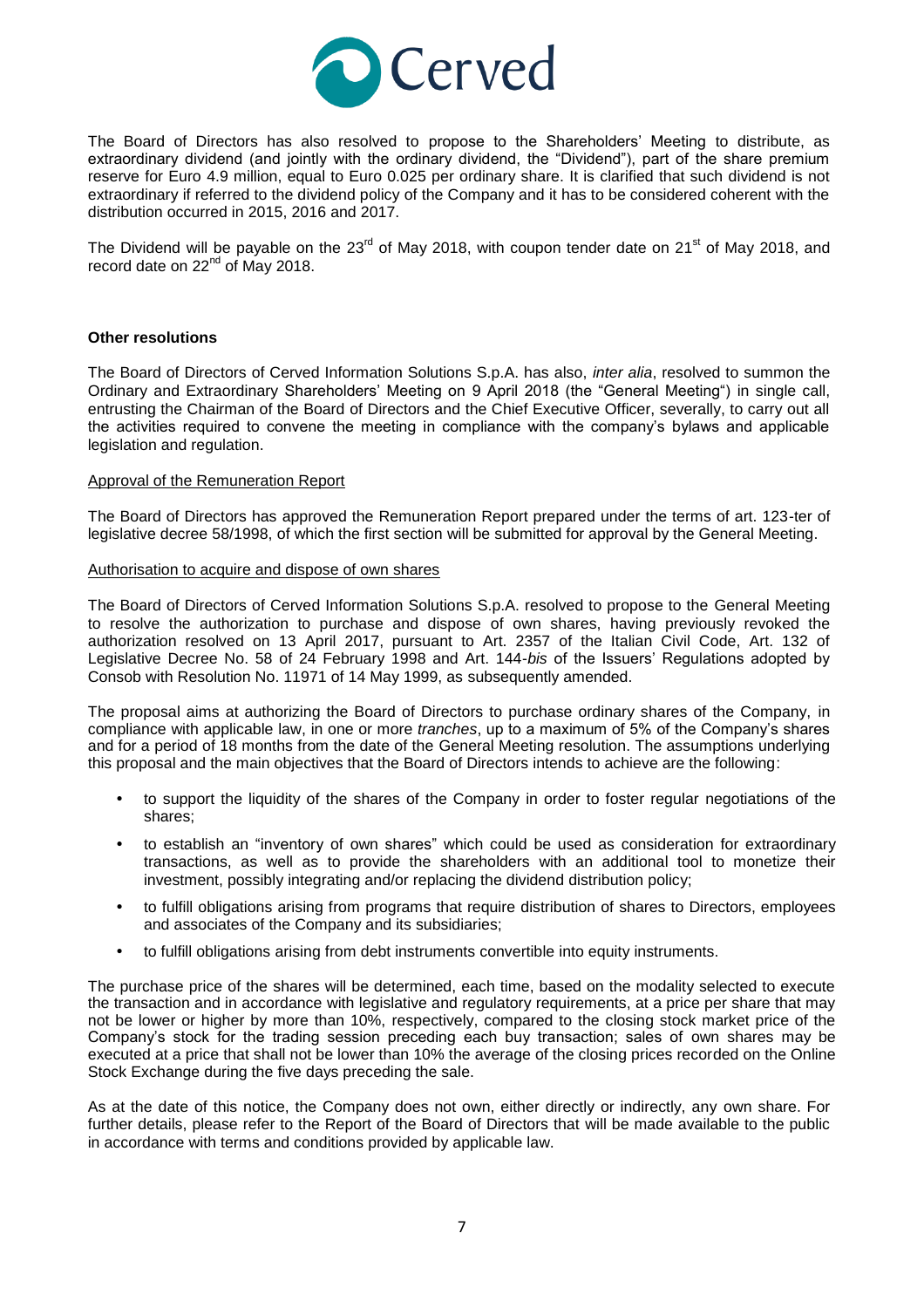

The Board of Directors has also resolved to propose to the Shareholders' Meeting to distribute, as extraordinary dividend (and jointly with the ordinary dividend, the "Dividend"), part of the share premium reserve for Euro 4.9 million, equal to Euro 0.025 per ordinary share. It is clarified that such dividend is not extraordinary if referred to the dividend policy of the Company and it has to be considered coherent with the distribution occurred in 2015, 2016 and 2017.

The Dividend will be payable on the 23<sup>rd</sup> of May 2018, with coupon tender date on 21<sup>st</sup> of May 2018, and record date on 22<sup>nd</sup> of May 2018.

#### **Other resolutions**

The Board of Directors of Cerved Information Solutions S.p.A. has also, *inter alia*, resolved to summon the Ordinary and Extraordinary Shareholders' Meeting on 9 April 2018 (the "General Meeting") in single call, entrusting the Chairman of the Board of Directors and the Chief Executive Officer, severally, to carry out all the activities required to convene the meeting in compliance with the company's bylaws and applicable legislation and regulation.

#### Approval of the Remuneration Report

The Board of Directors has approved the Remuneration Report prepared under the terms of art. 123-ter of legislative decree 58/1998, of which the first section will be submitted for approval by the General Meeting.

#### Authorisation to acquire and dispose of own shares

The Board of Directors of Cerved Information Solutions S.p.A. resolved to propose to the General Meeting to resolve the authorization to purchase and dispose of own shares, having previously revoked the authorization resolved on 13 April 2017, pursuant to Art. 2357 of the Italian Civil Code, Art. 132 of Legislative Decree No. 58 of 24 February 1998 and Art. 144-*bis* of the Issuers' Regulations adopted by Consob with Resolution No. 11971 of 14 May 1999, as subsequently amended.

The proposal aims at authorizing the Board of Directors to purchase ordinary shares of the Company, in compliance with applicable law, in one or more *tranches*, up to a maximum of 5% of the Company's shares and for a period of 18 months from the date of the General Meeting resolution. The assumptions underlying this proposal and the main objectives that the Board of Directors intends to achieve are the following:

- to support the liquidity of the shares of the Company in order to foster regular negotiations of the shares;
- to establish an "inventory of own shares" which could be used as consideration for extraordinary transactions, as well as to provide the shareholders with an additional tool to monetize their investment, possibly integrating and/or replacing the dividend distribution policy;
- to fulfill obligations arising from programs that require distribution of shares to Directors, employees and associates of the Company and its subsidiaries;
- to fulfill obligations arising from debt instruments convertible into equity instruments.

The purchase price of the shares will be determined, each time, based on the modality selected to execute the transaction and in accordance with legislative and regulatory requirements, at a price per share that may not be lower or higher by more than 10%, respectively, compared to the closing stock market price of the Company's stock for the trading session preceding each buy transaction; sales of own shares may be executed at a price that shall not be lower than 10% the average of the closing prices recorded on the Online Stock Exchange during the five days preceding the sale.

As at the date of this notice, the Company does not own, either directly or indirectly, any own share. For further details, please refer to the Report of the Board of Directors that will be made available to the public in accordance with terms and conditions provided by applicable law.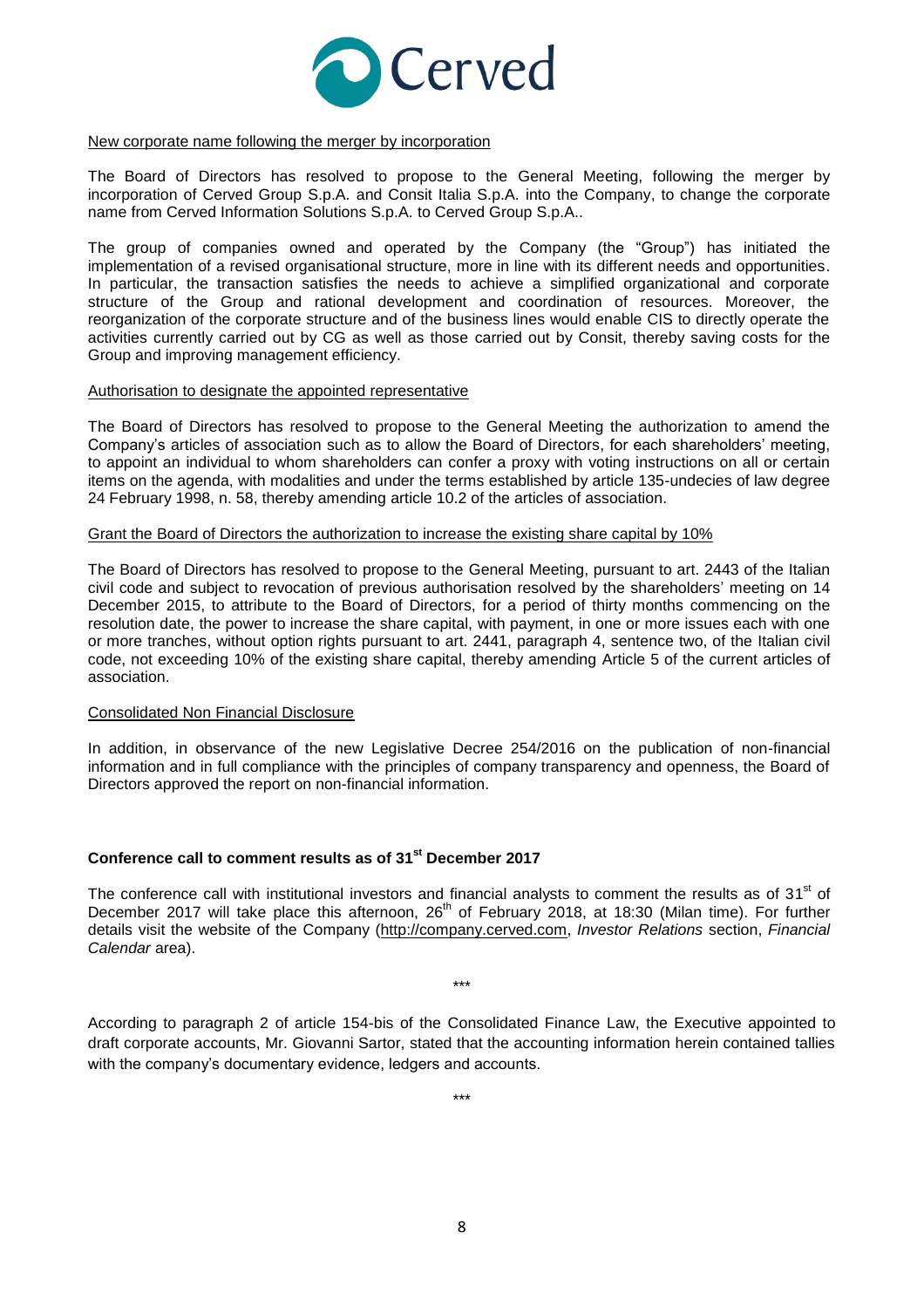

#### New corporate name following the merger by incorporation

The Board of Directors has resolved to propose to the General Meeting, following the merger by incorporation of Cerved Group S.p.A. and Consit Italia S.p.A. into the Company, to change the corporate name from Cerved Information Solutions S.p.A. to Cerved Group S.p.A..

The group of companies owned and operated by the Company (the "Group") has initiated the implementation of a revised organisational structure, more in line with its different needs and opportunities. In particular, the transaction satisfies the needs to achieve a simplified organizational and corporate structure of the Group and rational development and coordination of resources. Moreover, the reorganization of the corporate structure and of the business lines would enable CIS to directly operate the activities currently carried out by CG as well as those carried out by Consit, thereby saving costs for the Group and improving management efficiency.

#### Authorisation to designate the appointed representative

The Board of Directors has resolved to propose to the General Meeting the authorization to amend the Company's articles of association such as to allow the Board of Directors, for each shareholders' meeting, to appoint an individual to whom shareholders can confer a proxy with voting instructions on all or certain items on the agenda, with modalities and under the terms established by article 135-undecies of law degree 24 February 1998, n. 58, thereby amending article 10.2 of the articles of association.

#### Grant the Board of Directors the authorization to increase the existing share capital by 10%

The Board of Directors has resolved to propose to the General Meeting, pursuant to art. 2443 of the Italian civil code and subject to revocation of previous authorisation resolved by the shareholders' meeting on 14 December 2015, to attribute to the Board of Directors, for a period of thirty months commencing on the resolution date, the power to increase the share capital, with payment, in one or more issues each with one or more tranches, without option rights pursuant to art. 2441, paragraph 4, sentence two, of the Italian civil code, not exceeding 10% of the existing share capital, thereby amending Article 5 of the current articles of association.

#### Consolidated Non Financial Disclosure

In addition, in observance of the new Legislative Decree 254/2016 on the publication of non-financial information and in full compliance with the principles of company transparency and openness, the Board of Directors approved the report on non-financial information.

### **Conference call to comment results as of 31 st December 2017**

The conference call with institutional investors and financial analysts to comment the results as of 31<sup>st</sup> of December 2017 will take place this afternoon, 26<sup>th</sup> of February 2018, at 18:30 (Milan time). For further details visit the website of the Company [\(http://company.cerved.com,](http://company.cerved.com/) *Investor Relations* section, *Financial Calendar* area).

\*\*\*

According to paragraph 2 of article 154-bis of the Consolidated Finance Law, the Executive appointed to draft corporate accounts, Mr. Giovanni Sartor, stated that the accounting information herein contained tallies with the company's documentary evidence, ledgers and accounts.

\*\*\*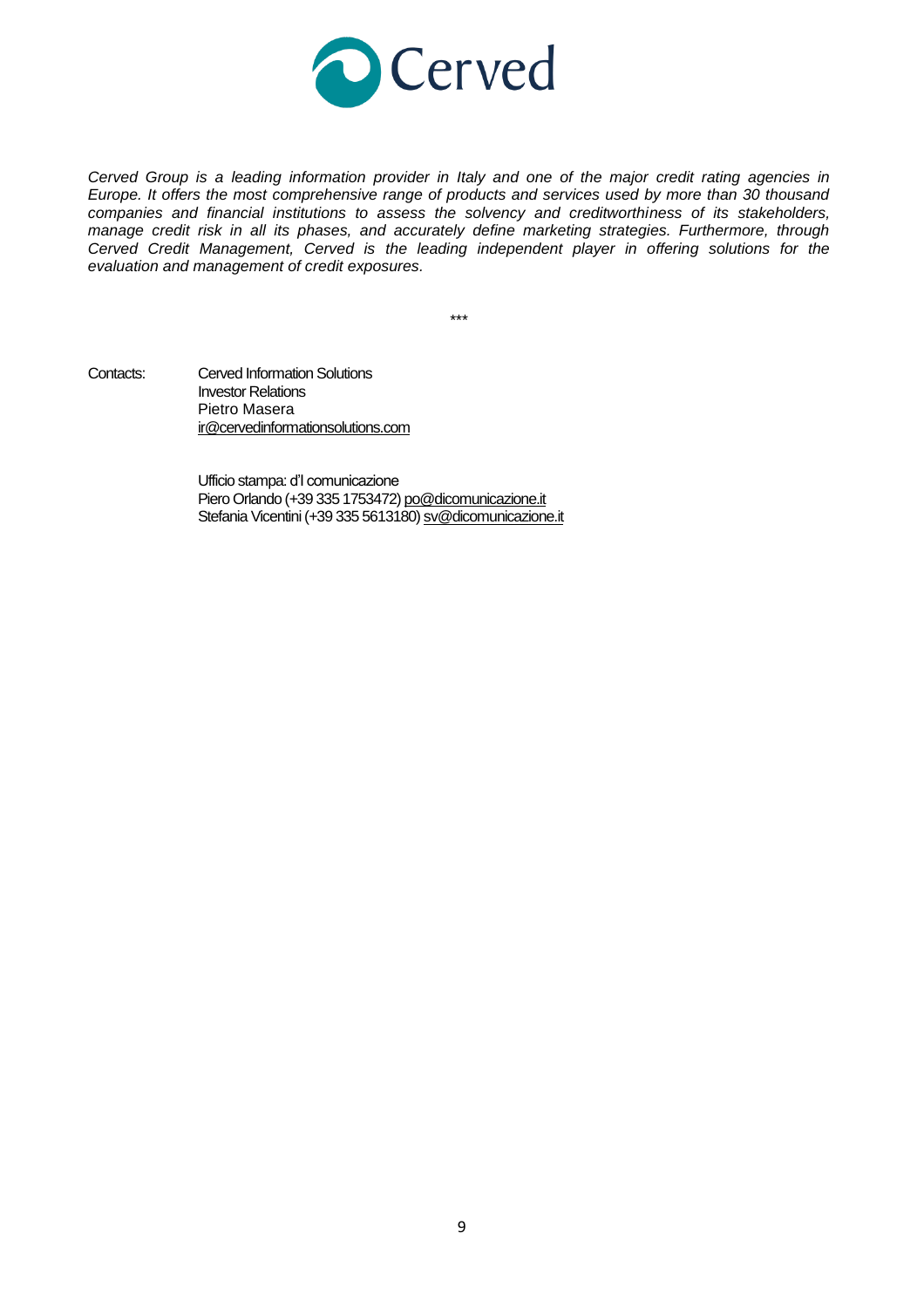

*Cerved Group is a leading information provider in Italy and one of the major credit rating agencies in Europe. It offers the most comprehensive range of products and services used by more than 30 thousand companies and financial institutions to assess the solvency and creditworthiness of its stakeholders, manage credit risk in all its phases, and accurately define marketing strategies. Furthermore, through Cerved Credit Management, Cerved is the leading independent player in offering solutions for the evaluation and management of credit exposures.*

\*\*\*

Contacts: Cerved Information Solutions Investor Relations Pietro Masera [ir@cervedinformationsolutions.com](mailto:ir@cervedinformationsolutions.com)

> Ufficio stampa: d'I comunicazione Piero Orlando (+39 335 1753472) [po@dicomunicazione.it](mailto:po@dicomunicazione.it) Stefania Vicentini (+39 335 5613180[\) sv@dicomunicazione.it](mailto:sv@dicomunicazione.it)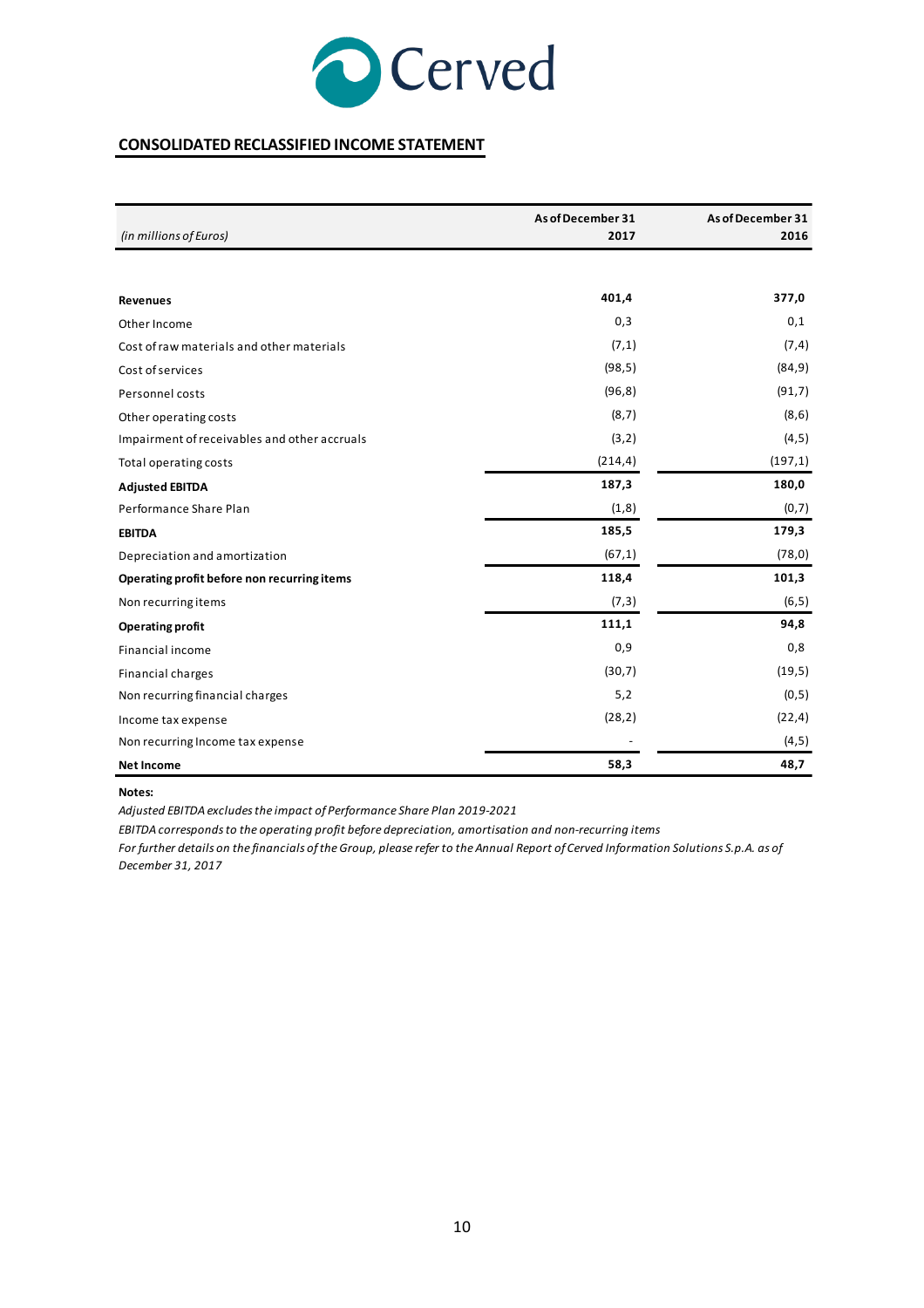![](_page_9_Picture_0.jpeg)

# **CONSOLIDATED RECLASSIFIED INCOME STATEMENT**

|                                              | As of December 31 | As of December 31 |
|----------------------------------------------|-------------------|-------------------|
| (in millions of Euros)                       | 2017              | 2016              |
|                                              |                   |                   |
| <b>Revenues</b>                              | 401,4             | 377,0             |
| Other Income                                 | 0,3               | 0,1               |
| Cost of raw materials and other materials    | (7,1)             | (7, 4)            |
| Cost of services                             | (98, 5)           | (84, 9)           |
| Personnel costs                              | (96, 8)           | (91,7)            |
| Other operating costs                        | (8, 7)            | (8, 6)            |
| Impairment of receivables and other accruals | (3,2)             | (4, 5)            |
| Total operating costs                        | (214, 4)          | (197,1)           |
| <b>Adjusted EBITDA</b>                       | 187,3             | 180,0             |
| Performance Share Plan                       | (1,8)             | (0,7)             |
| <b>EBITDA</b>                                | 185,5             | 179,3             |
| Depreciation and amortization                | (67,1)            | (78, 0)           |
| Operating profit before non recurring items  | 118,4             | 101,3             |
| Non recurring items                          | (7,3)             | (6, 5)            |
| <b>Operating profit</b>                      | 111,1             | 94,8              |
| <b>Financial income</b>                      | 0,9               | 0,8               |
| Financial charges                            | (30,7)            | (19,5)            |
| Non recurring financial charges              | 5,2               | (0,5)             |
| Income tax expense                           | (28, 2)           | (22, 4)           |
| Non recurring Income tax expense             |                   | (4, 5)            |
| <b>Net Income</b>                            | 58,3              | 48,7              |

#### **Notes:**

*Adjusted EBITDA excludes the impact of Performance Share Plan 2019-2021*

*EBITDA corresponds to the operating profit before depreciation, amortisation and non-recurring items*

*For further details on the financials of the Group, please refer to the Annual Report of Cerved Information Solutions S.p.A. as of December 31, 2017*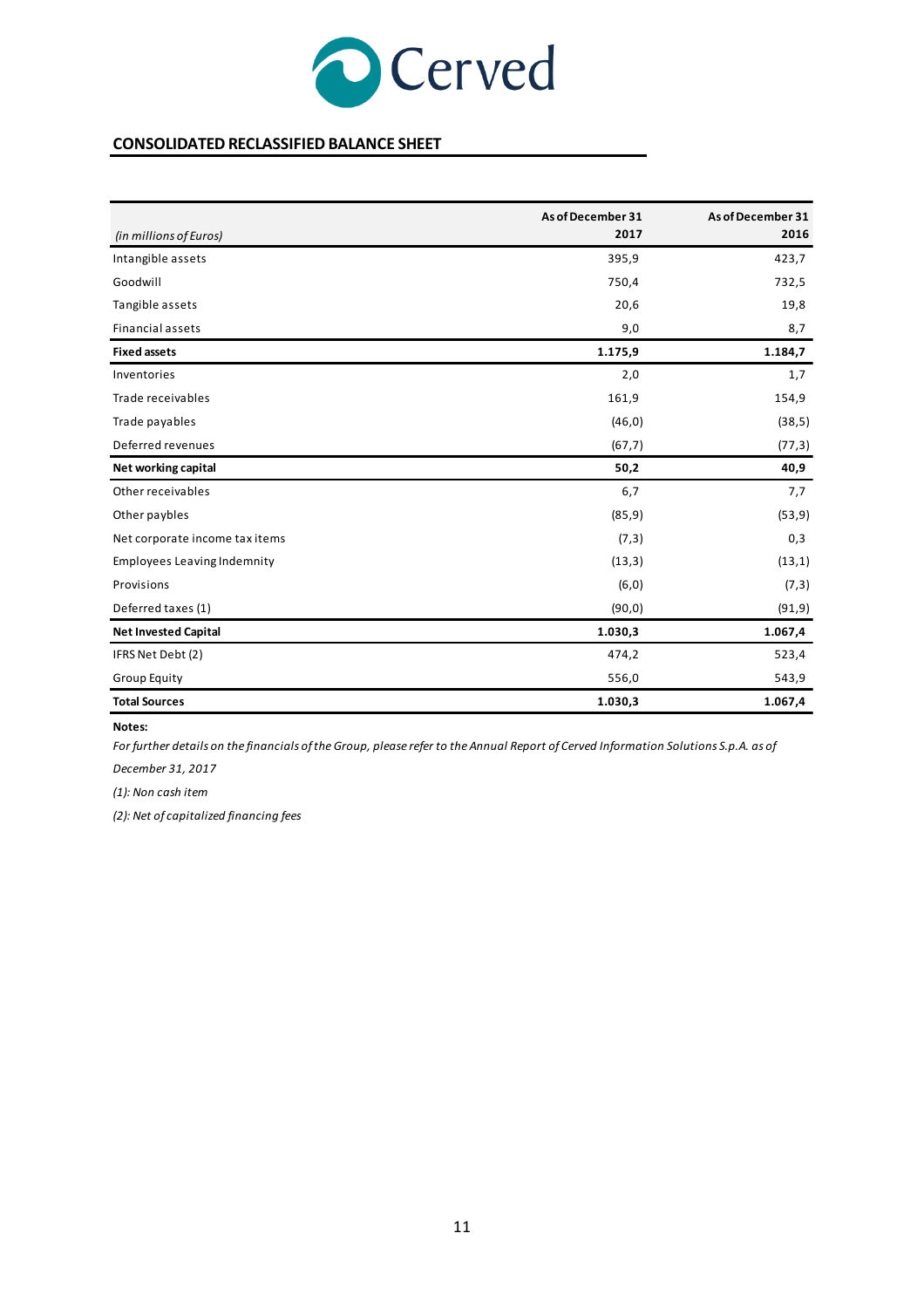![](_page_10_Picture_0.jpeg)

### **CONSOLIDATED RECLASSIFIED BALANCE SHEET**

|                                    | As of December 31 | As of December 31 |
|------------------------------------|-------------------|-------------------|
| (in millions of Euros)             | 2017              | 2016              |
| Intangible assets                  | 395,9             | 423,7             |
| Goodwill                           | 750,4             | 732,5             |
| Tangible assets                    | 20,6              | 19,8              |
| <b>Financial assets</b>            | 9,0               | 8,7               |
| <b>Fixed assets</b>                | 1.175,9           | 1.184,7           |
| Inventories                        | 2,0               | 1,7               |
| Trade receivables                  | 161,9             | 154,9             |
| Trade payables                     | (46, 0)           | (38,5)            |
| Deferred revenues                  | (67,7)            | (77,3)            |
| Net working capital                | 50,2              | 40,9              |
| Other receivables                  | 6,7               | 7,7               |
| Other paybles                      | (85, 9)           | (53, 9)           |
| Net corporate income tax items     | (7,3)             | 0,3               |
| <b>Employees Leaving Indemnity</b> | (13,3)            | (13,1)            |
| Provisions                         | (6, 0)            | (7,3)             |
| Deferred taxes (1)                 | (90, 0)           | (91, 9)           |
| <b>Net Invested Capital</b>        | 1.030,3           | 1.067,4           |
| IFRS Net Debt (2)                  | 474,2             | 523,4             |
| Group Equity                       | 556,0             | 543,9             |
| <b>Total Sources</b>               | 1.030,3           | 1.067,4           |

#### **Notes:**

*For further details on the financials of the Group, please refer to the Annual Report of Cerved Information Solutions S.p.A. as of*

*December 31, 2017*

*(1): Non cash item*

*(2): Net of capitalized financing fees*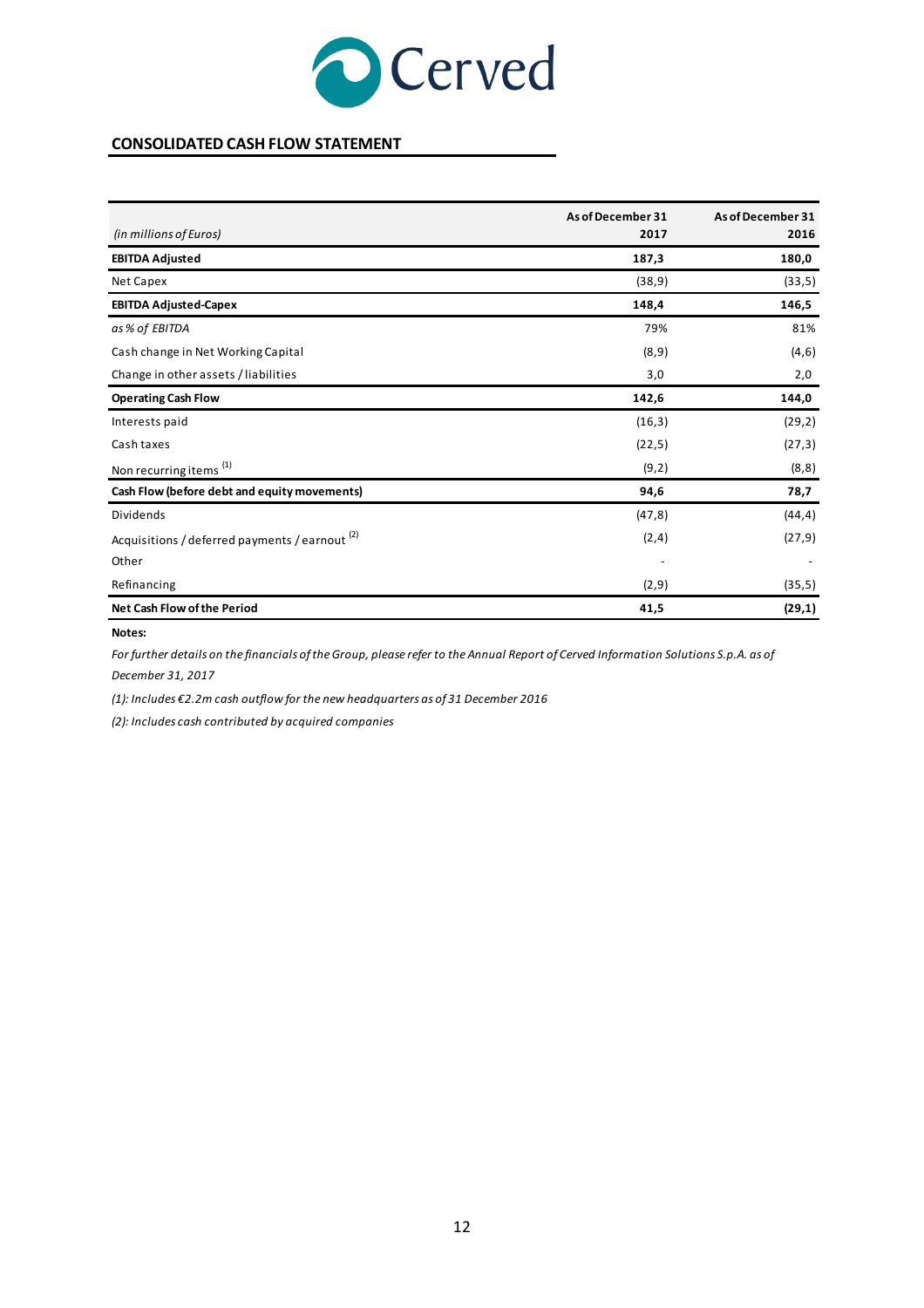![](_page_11_Picture_0.jpeg)

### **CONSOLIDATED CASH FLOW STATEMENT**

|                                                           | As of December 31 | As of December 31 |
|-----------------------------------------------------------|-------------------|-------------------|
| (in millions of Euros)                                    | 2017              | 2016              |
| <b>EBITDA Adjusted</b>                                    | 187,3             | 180,0             |
| Net Capex                                                 | (38, 9)           | (33,5)            |
| <b>EBITDA Adjusted-Capex</b>                              | 148,4             | 146,5             |
| as % of EBITDA                                            | 79%               | 81%               |
| Cash change in Net Working Capital                        | (8, 9)            | (4, 6)            |
| Change in other assets / liabilities                      | 3,0               | 2,0               |
| <b>Operating Cash Flow</b>                                | 142,6             | 144,0             |
| Interests paid                                            | (16, 3)           | (29, 2)           |
| Cash taxes                                                | (22,5)            | (27,3)            |
| Non recurring items <sup>(1)</sup>                        | (9,2)             | (8, 8)            |
| Cash Flow (before debt and equity movements)              | 94,6              | 78,7              |
| Dividends                                                 | (47, 8)           | (44, 4)           |
| Acquisitions / deferred payments / earnout <sup>(2)</sup> | (2,4)             | (27, 9)           |
| Other                                                     |                   |                   |
| Refinancing                                               | (2, 9)            | (35,5)            |
| <b>Net Cash Flow of the Period</b>                        | 41,5              | (29,1)            |

#### **Notes:**

*December 31, 2017 For further details on the financials of the Group, please refer to the Annual Report of Cerved Information Solutions S.p.A. as of*

*(1): Includes €2.2m cash outflow for the new headquarters as of 31 December 2016*

*(2): Includes cash contributed by acquired companies*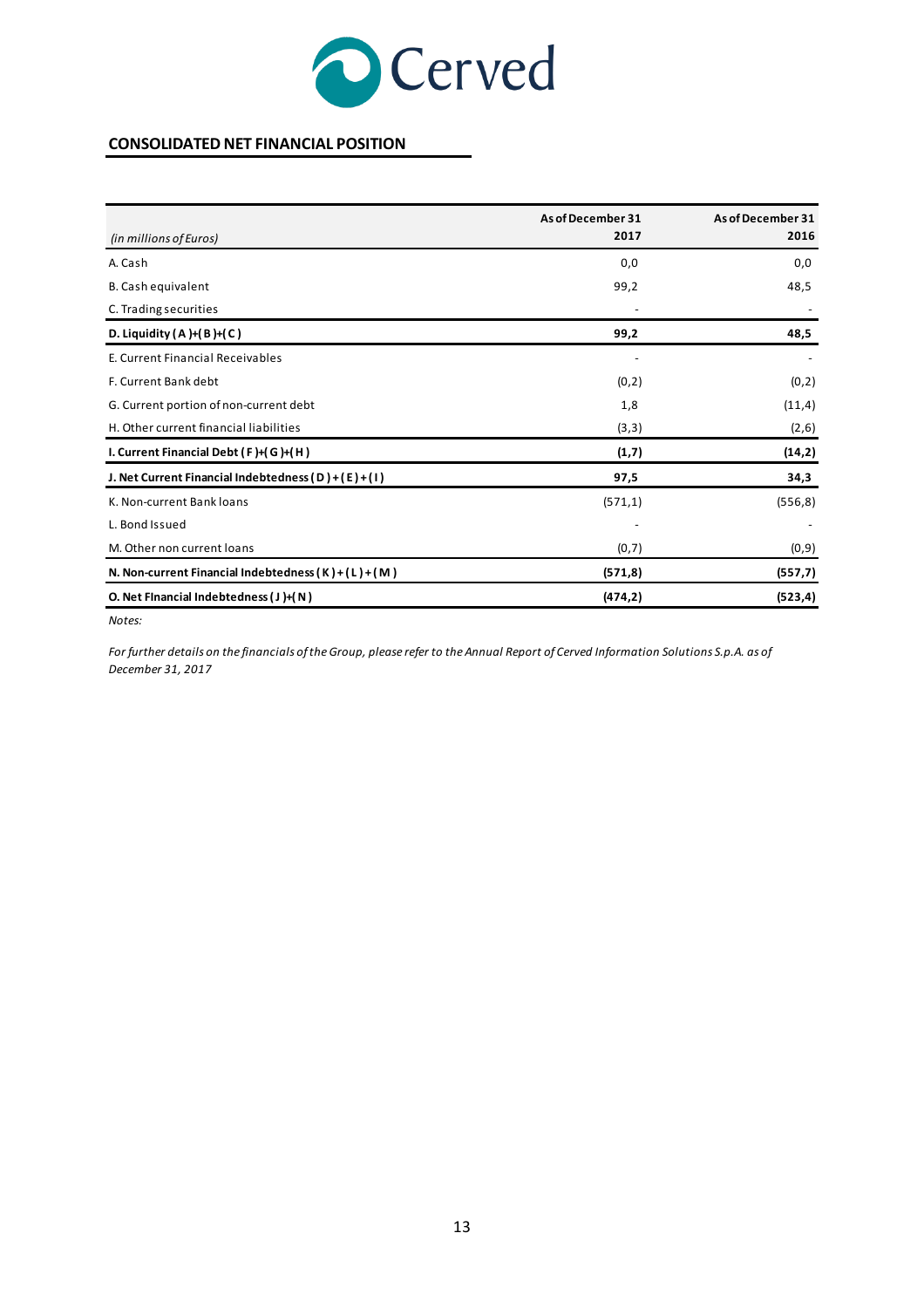![](_page_12_Picture_0.jpeg)

### **CONSOLIDATED NET FINANCIAL POSITION**

|                                                         | As of December 31 | As of December 31 |
|---------------------------------------------------------|-------------------|-------------------|
| (in millions of Euros)                                  | 2017              | 2016              |
| A. Cash                                                 | 0,0               | 0,0               |
| B. Cash equivalent                                      | 99,2              | 48,5              |
| C. Trading securities                                   |                   |                   |
| D. Liquidity $(A)$ + $(B)$ + $(C)$                      | 99,2              | 48,5              |
| E. Current Financial Receivables                        |                   |                   |
| F. Current Bank debt                                    | (0, 2)            | (0,2)             |
| G. Current portion of non-current debt                  | 1,8               | (11,4)            |
| H. Other current financial liabilities                  | (3,3)             | (2,6)             |
| I. Current Financial Debt $(F)+(G)+(H)$                 | (1,7)             | (14,2)            |
| J. Net Current Financial Indebtedness (D)+(E)+(I)       | 97,5              | 34,3              |
| K. Non-current Bank loans                               | (571,1)           | (556, 8)          |
| L. Bond Issued                                          |                   |                   |
| M. Other non current loans                              | (0,7)             | (0,9)             |
| N. Non-current Financial Indebtedness $(K) + (L) + (M)$ | (571,8)           | (557,7)           |
| O. Net Financial Indebtedness (J)+(N)                   | (474, 2)          | (523, 4)          |

*Notes:*

*For further details on the financials of the Group, please refer to the Annual Report of Cerved Information Solutions S.p.A. as of December 31, 2017*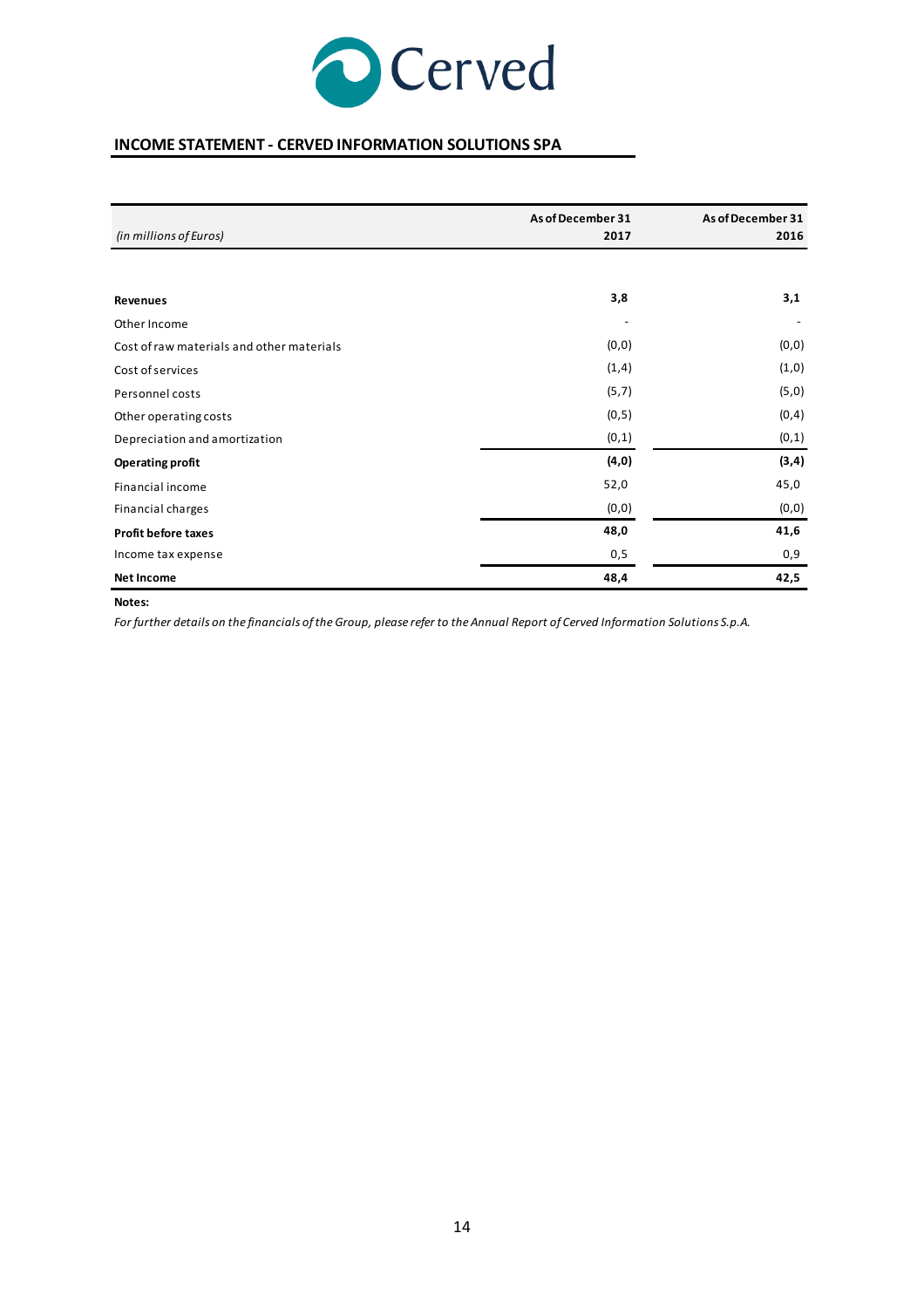![](_page_13_Picture_0.jpeg)

# **INCOME STATEMENT - CERVED INFORMATION SOLUTIONS SPA**

| (in millions of Euros)                    | As of December 31<br>2017 | As of December 31<br>2016 |
|-------------------------------------------|---------------------------|---------------------------|
|                                           |                           |                           |
|                                           |                           |                           |
| <b>Revenues</b>                           | 3,8                       | 3,1                       |
| Other Income                              |                           |                           |
| Cost of raw materials and other materials | (0,0)                     | (0, 0)                    |
| Cost of services                          | (1, 4)                    | (1,0)                     |
| Personnel costs                           | (5,7)                     | (5, 0)                    |
| Other operating costs                     | (0,5)                     | (0, 4)                    |
| Depreciation and amortization             | (0,1)                     | (0,1)                     |
| <b>Operating profit</b>                   | (4, 0)                    | (3, 4)                    |
| Financial income                          | 52,0                      | 45,0                      |
| Financial charges                         | (0, 0)                    | (0, 0)                    |
| <b>Profit before taxes</b>                | 48,0                      | 41,6                      |
| Income tax expense                        | 0,5                       | 0,9                       |
| <b>Net Income</b>                         | 48,4                      | 42,5                      |

#### **Notes:**

*For further details on the financials of the Group, please refer to the Annual Report of Cerved Information Solutions S.p.A.*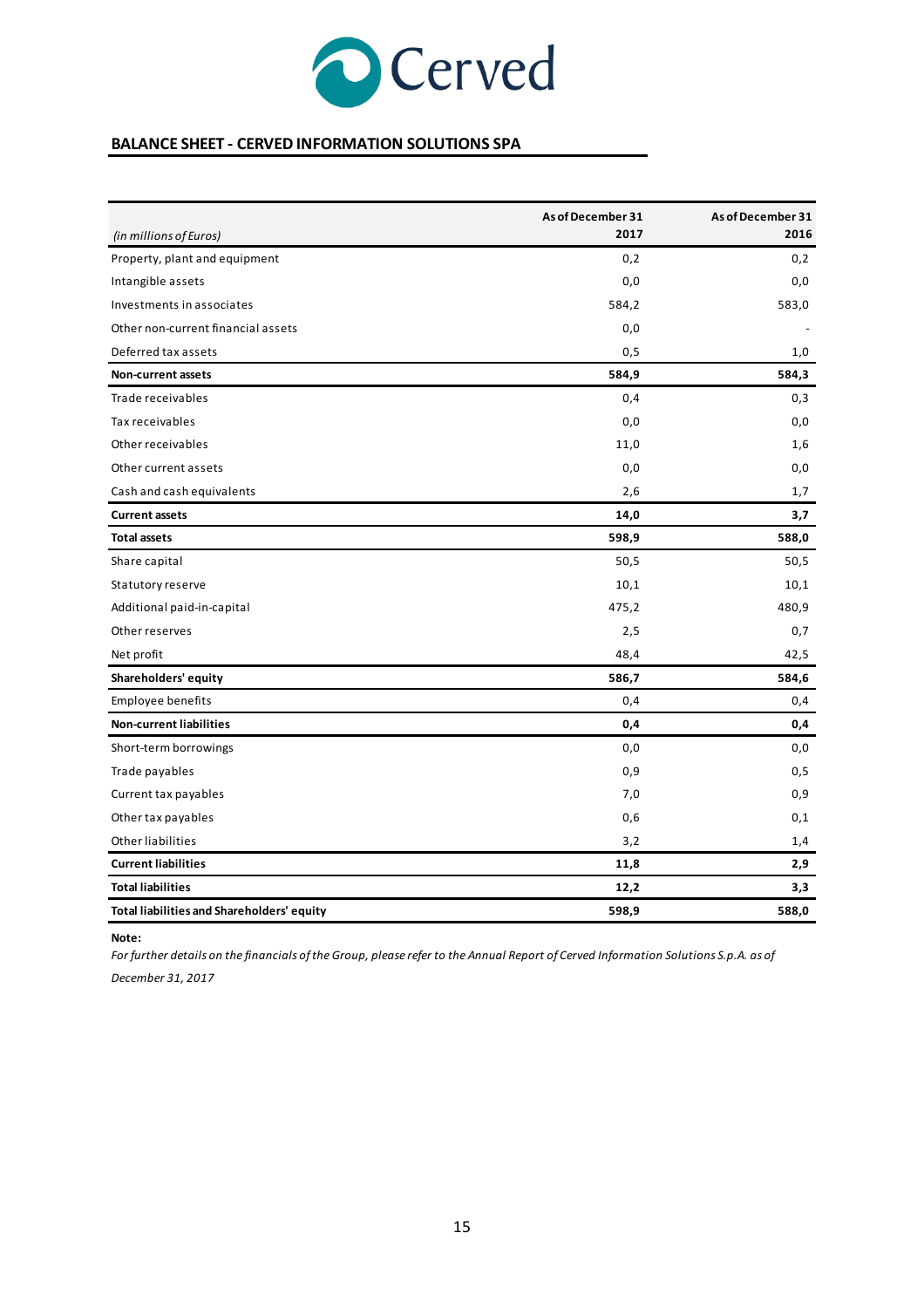![](_page_14_Picture_0.jpeg)

### **BALANCE SHEET - CERVED INFORMATION SOLUTIONS SPA**

|                                                   | As of December 31 | As of December 31 |
|---------------------------------------------------|-------------------|-------------------|
| (in millions of Euros)                            | 2017              | 2016              |
| Property, plant and equipment                     | 0,2               | 0,2               |
| Intangible assets                                 | 0,0               | 0,0               |
| Investments in associates                         | 584,2             | 583,0             |
| Other non-current financial assets                | 0,0               |                   |
| Deferred tax assets                               | 0,5               | 1,0               |
| <b>Non-current assets</b>                         | 584,9             | 584,3             |
| Trade receivables                                 | 0,4               | 0,3               |
| Tax receivables                                   | 0,0               | 0,0               |
| Other receivables                                 | 11,0              | 1,6               |
| Other current assets                              | 0,0               | 0,0               |
| Cash and cash equivalents                         | 2,6               | 1,7               |
| <b>Current assets</b>                             | 14,0              | 3,7               |
| <b>Total assets</b>                               | 598,9             | 588,0             |
| Share capital                                     | 50,5              | 50,5              |
| Statutory reserve                                 | 10,1              | 10,1              |
| Additional paid-in-capital                        | 475,2             | 480,9             |
| Other reserves                                    | 2,5               | 0,7               |
| Net profit                                        | 48,4              | 42,5              |
| Shareholders' equity                              | 586,7             | 584,6             |
| Employee benefits                                 | 0,4               | 0,4               |
| <b>Non-current liabilities</b>                    | 0,4               | 0,4               |
| Short-term borrowings                             | 0,0               | 0,0               |
| Trade payables                                    | 0,9               | 0,5               |
| Current tax payables                              | 7,0               | 0,9               |
| Other tax payables                                | 0,6               | 0,1               |
| Other liabilities                                 | 3,2               | 1,4               |
| <b>Current liabilities</b>                        | 11,8              | 2,9               |
| <b>Total liabilities</b>                          | 12,2              | 3,3               |
| <b>Total liabilities and Shareholders' equity</b> | 598,9             | 588,0             |

**Note:** 

*December 31, 2017 For further details on the financials of the Group, please refer to the Annual Report of Cerved Information Solutions S.p.A. as of*